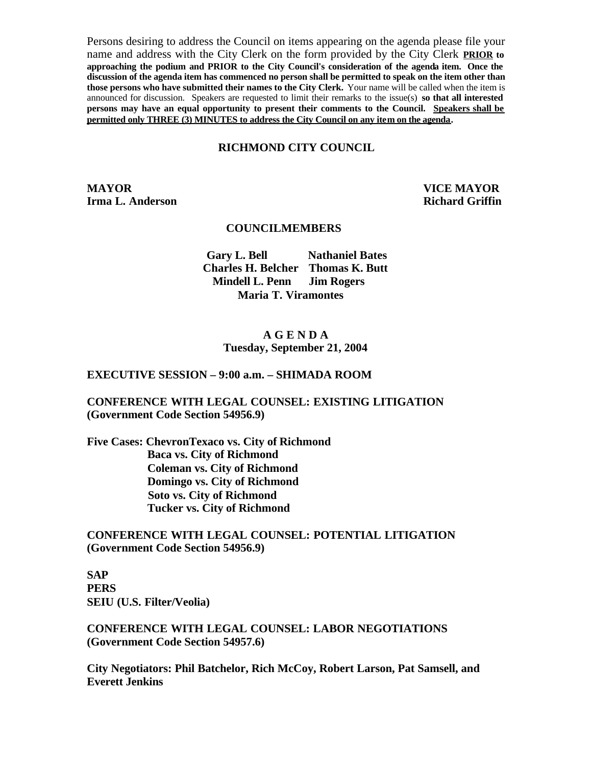Persons desiring to address the Council on items appearing on the agenda please file your name and address with the City Clerk on the form provided by the City Clerk **PRIOR to approaching the podium and PRIOR to the City Council's consideration of the agenda item. Once the discussion of the agenda item has commenced no person shall be permitted to speak on the item other than those persons who have submitted their names to the City Clerk.** Your name will be called when the item is announced for discussion. Speakers are requested to limit their remarks to the issue(s) **so that all interested persons may have an equal opportunity to present their comments to the Council. Speakers shall be permitted only THREE (3) MINUTES to address the City Council on any item on the agenda.**

#### **RICHMOND CITY COUNCIL**

**MAYOR VICE MAYOR Irma L. Anderson Richard Griffin** 

#### **COUNCILMEMBERS**

**Gary L. Bell Nathaniel Bates Charles H. Belcher Thomas K. Butt Mindell L. Penn Jim Rogers Maria T. Viramontes**

### **A G E N D A Tuesday, September 21, 2004**

### **EXECUTIVE SESSION – 9:00 a.m. – SHIMADA ROOM**

### **CONFERENCE WITH LEGAL COUNSEL: EXISTING LITIGATION (Government Code Section 54956.9)**

**Five Cases: ChevronTexaco vs. City of Richmond Baca vs. City of Richmond Coleman vs. City of Richmond Domingo vs. City of Richmond Soto vs. City of Richmond Tucker vs. City of Richmond** 

**CONFERENCE WITH LEGAL COUNSEL: POTENTIAL LITIGATION (Government Code Section 54956.9)**

**SAP PERS SEIU (U.S. Filter/Veolia)** 

**CONFERENCE WITH LEGAL COUNSEL: LABOR NEGOTIATIONS (Government Code Section 54957.6)**

**City Negotiators: Phil Batchelor, Rich McCoy, Robert Larson, Pat Samsell, and Everett Jenkins**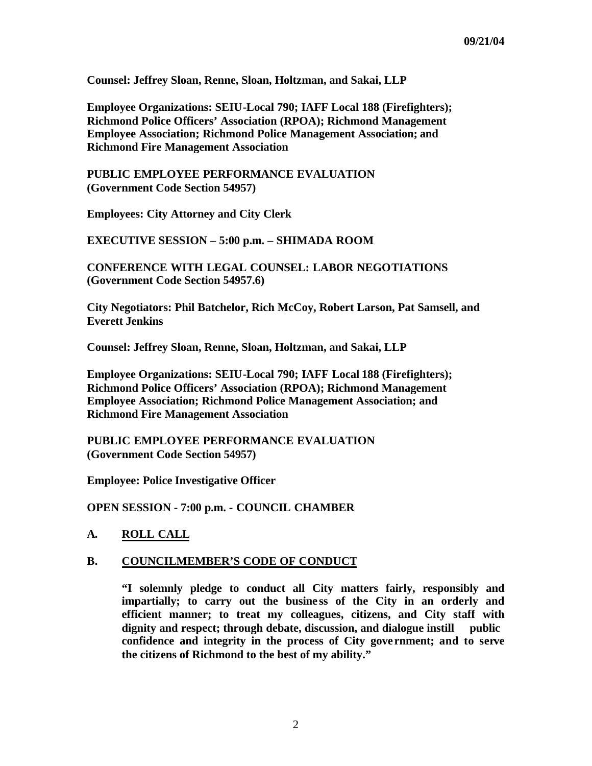**Counsel: Jeffrey Sloan, Renne, Sloan, Holtzman, and Sakai, LLP** 

**Employee Organizations: SEIU-Local 790; IAFF Local 188 (Firefighters); Richmond Police Officers' Association (RPOA); Richmond Management Employee Association; Richmond Police Management Association; and Richmond Fire Management Association** 

**PUBLIC EMPLOYEE PERFORMANCE EVALUATION (Government Code Section 54957)**

**Employees: City Attorney and City Clerk**

**EXECUTIVE SESSION – 5:00 p.m. – SHIMADA ROOM** 

**CONFERENCE WITH LEGAL COUNSEL: LABOR NEGOTIATIONS (Government Code Section 54957.6)**

**City Negotiators: Phil Batchelor, Rich McCoy, Robert Larson, Pat Samsell, and Everett Jenkins**

**Counsel: Jeffrey Sloan, Renne, Sloan, Holtzman, and Sakai, LLP** 

**Employee Organizations: SEIU-Local 790; IAFF Local 188 (Firefighters); Richmond Police Officers' Association (RPOA); Richmond Management Employee Association; Richmond Police Management Association; and Richmond Fire Management Association** 

**PUBLIC EMPLOYEE PERFORMANCE EVALUATION (Government Code Section 54957)**

**Employee: Police Investigative Officer** 

**OPEN SESSION - 7:00 p.m. - COUNCIL CHAMBER**

### **A. ROLL CALL**

#### **B. COUNCILMEMBER'S CODE OF CONDUCT**

**"I solemnly pledge to conduct all City matters fairly, responsibly and impartially; to carry out the busine ss of the City in an orderly and efficient manner; to treat my colleagues, citizens, and City staff with dignity and respect; through debate, discussion, and dialogue instill public confidence and integrity in the process of City gove rnment; and to serve the citizens of Richmond to the best of my ability."**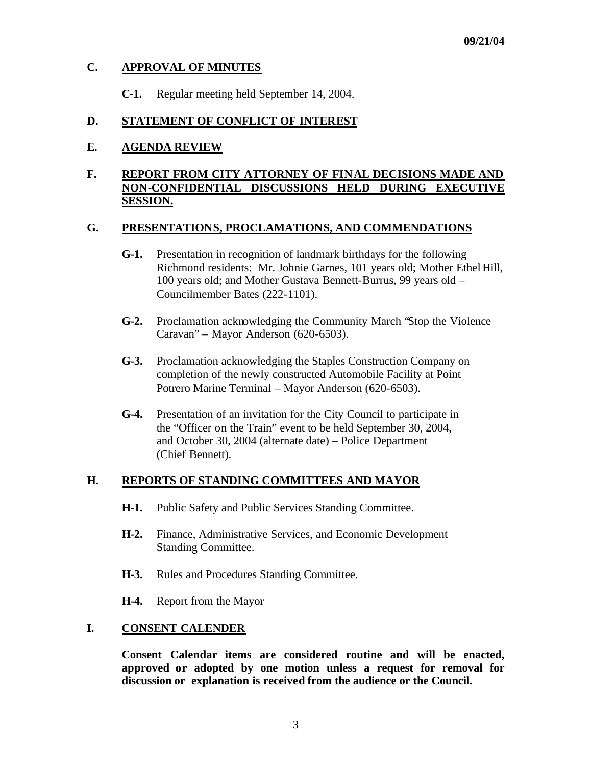# **C. APPROVAL OF MINUTES**

**C-1.** Regular meeting held September 14, 2004.

# **D. STATEMENT OF CONFLICT OF INTEREST**

## **E. AGENDA REVIEW**

# **F. REPORT FROM CITY ATTORNEY OF FINAL DECISIONS MADE AND NON-CONFIDENTIAL DISCUSSIONS HELD DURING EXECUTIVE SESSION.**

### **G. PRESENTATIONS, PROCLAMATIONS, AND COMMENDATIONS**

- **G-1.** Presentation in recognition of landmark birthdays for the following Richmond residents: Mr. Johnie Garnes, 101 years old; Mother Ethel Hill, 100 years old; and Mother Gustava Bennett-Burrus, 99 years old – Councilmember Bates (222-1101).
- **G-2.** Proclamation acknowledging the Community March "Stop the Violence Caravan" – Mayor Anderson (620-6503).
- **G-3.** Proclamation acknowledging the Staples Construction Company on completion of the newly constructed Automobile Facility at Point Potrero Marine Terminal – Mayor Anderson (620-6503).
- **G-4.** Presentation of an invitation for the City Council to participate in the "Officer on the Train" event to be held September 30, 2004, and October 30, 2004 (alternate date) – Police Department (Chief Bennett).

## **H. REPORTS OF STANDING COMMITTEES AND MAYOR**

- **H-1.** Public Safety and Public Services Standing Committee.
- **H-2.** Finance, Administrative Services, and Economic Development Standing Committee.
- **H-3.** Rules and Procedures Standing Committee.
- **H-4.** Report from the Mayor

## **I. CONSENT CALENDER**

**Consent Calendar items are considered routine and will be enacted, approved or adopted by one motion unless a request for removal for discussion or explanation is received from the audience or the Council.**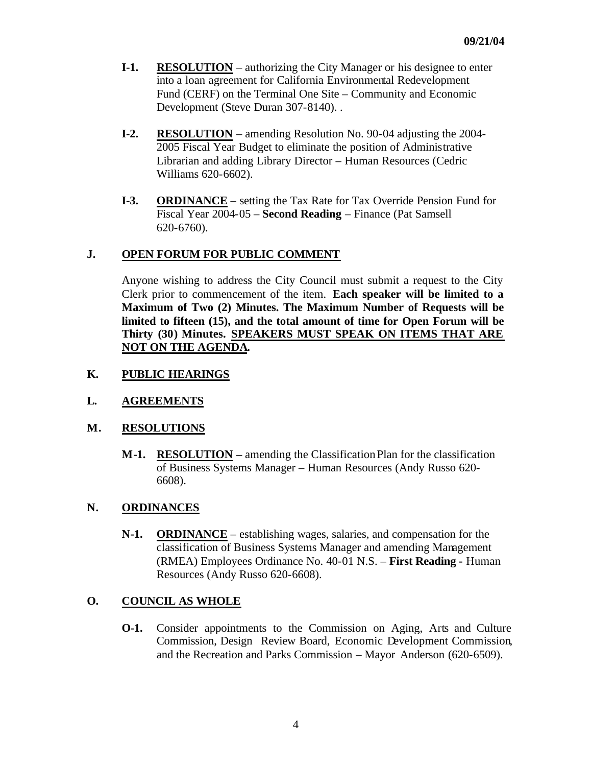- **I-1.** RESOLUTION authorizing the City Manager or his designee to enter into a loan agreement for California Environmental Redevelopment Fund (CERF) on the Terminal One Site – Community and Economic Development (Steve Duran 307-8140). .
- **I-2. RESOLUTION** amending Resolution No. 90-04 adjusting the 2004- 2005 Fiscal Year Budget to eliminate the position of Administrative Librarian and adding Library Director – Human Resources (Cedric Williams 620-6602).
- **I-3. ORDINANCE** setting the Tax Rate for Tax Override Pension Fund for Fiscal Year 2004-05 – **Second Reading** – Finance (Pat Samsell 620-6760).

## **J. OPEN FORUM FOR PUBLIC COMMENT**

Anyone wishing to address the City Council must submit a request to the City Clerk prior to commencement of the item. **Each speaker will be limited to a Maximum of Two (2) Minutes. The Maximum Number of Requests will be limited to fifteen (15), and the total amount of time for Open Forum will be Thirty (30) Minutes. SPEAKERS MUST SPEAK ON ITEMS THAT ARE NOT ON THE AGENDA.**

## **K. PUBLIC HEARINGS**

# **L. AGREEMENTS**

## **M. RESOLUTIONS**

**M-1. RESOLUTION –** amending the Classification Plan for the classification of Business Systems Manager – Human Resources (Andy Russo 620- 6608).

## **N. ORDINANCES**

**N-1. ORDINANCE** – establishing wages, salaries, and compensation for the classification of Business Systems Manager and amending Management (RMEA) Employees Ordinance No. 40-01 N.S. – **First Reading -** Human Resources (Andy Russo 620-6608).

# **O. COUNCIL AS WHOLE**

**O-1.** Consider appointments to the Commission on Aging, Arts and Culture Commission, Design Review Board, Economic Development Commission, and the Recreation and Parks Commission – Mayor Anderson (620-6509).